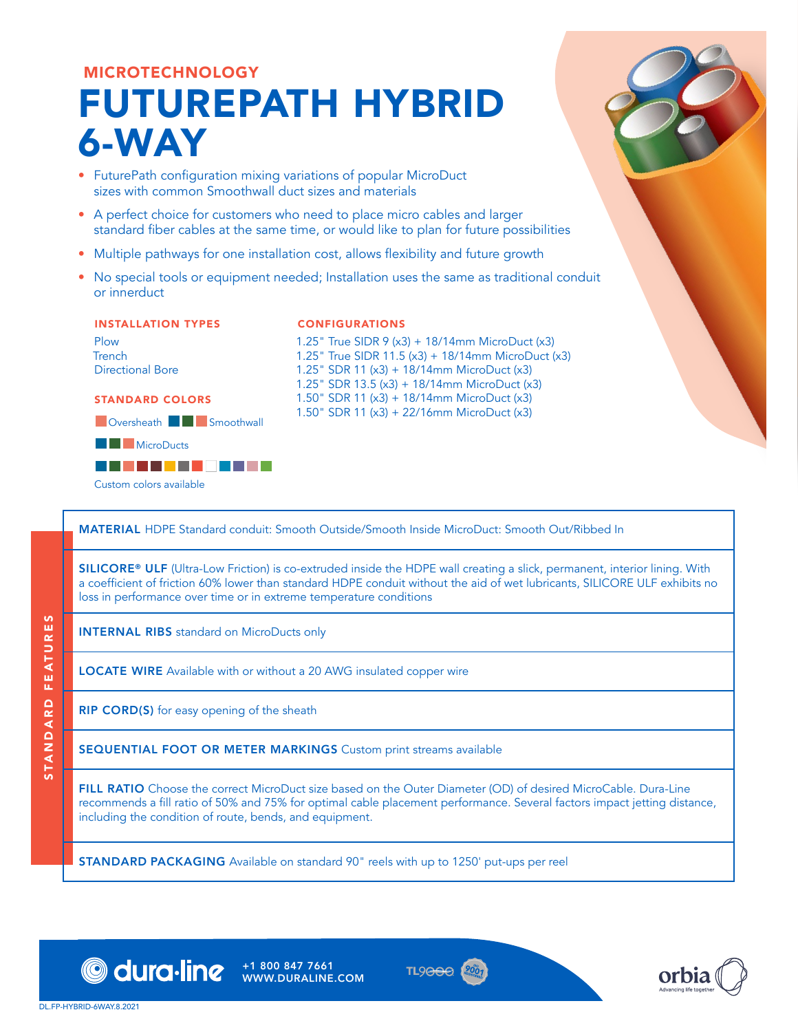# MICROTECHNOLOGY FUTUREPATH HYBRID 6-WAY

- FuturePath configuration mixing variations of popular MicroDuct sizes with common Smoothwall duct sizes and materials
- A perfect choice for customers who need to place micro cables and larger standard fiber cables at the same time, or would like to plan for future possibilities
- Multiple pathways for one installation cost, allows flexibility and future growth
- No special tools or equipment needed; Installation uses the same as traditional conduit or innerduct

### INSTALLATION TYPES

Plow Trench

Directional Bore

### STANDARD COLORS





### CONFIGURATIONS

1.25" True SIDR 9 (x3) + 18/14mm MicroDuct (x3) 1.25" True SIDR 11.5 (x3) + 18/14mm MicroDuct (x3) 1.25" SDR 11 (x3) + 18/14mm MicroDuct (x3) 1.25" SDR 13.5 (x3) + 18/14mm MicroDuct (x3) 1.50" SDR 11 (x3) + 18/14mm MicroDuct (x3) 1.50" SDR 11 (x3) + 22/16mm MicroDuct (x3)

MATERIAL HDPE Standard conduit: Smooth Outside/Smooth Inside MicroDuct: Smooth Out/Ribbed In

SILICORE® ULF (Ultra-Low Friction) is co-extruded inside the HDPE wall creating a slick, permanent, interior lining. With a coefficient of friction 60% lower than standard HDPE conduit without the aid of wet lubricants, SILICORE ULF exhibits no loss in performance over time or in extreme temperature conditions

INTERNAL RIBS standard on MicroDucts only

LOCATE WIRE Available with or without a 20 AWG insulated copper wire

**RIP CORD(S)** for easy opening of the sheath

SEQUENTIAL FOOT OR METER MARKINGS Custom print streams available

FILL RATIO Choose the correct MicroDuct size based on the Outer Diameter (OD) of desired MicroCable. Dura-Line recommends a fill ratio of 50% and 75% for optimal cable placement performance. Several factors impact jetting distance, including the condition of route, bends, and equipment.

**STANDARD PACKAGING** Available on standard 90" reels with up to 1250' put-ups per reel



WWW.DURALINE.COM



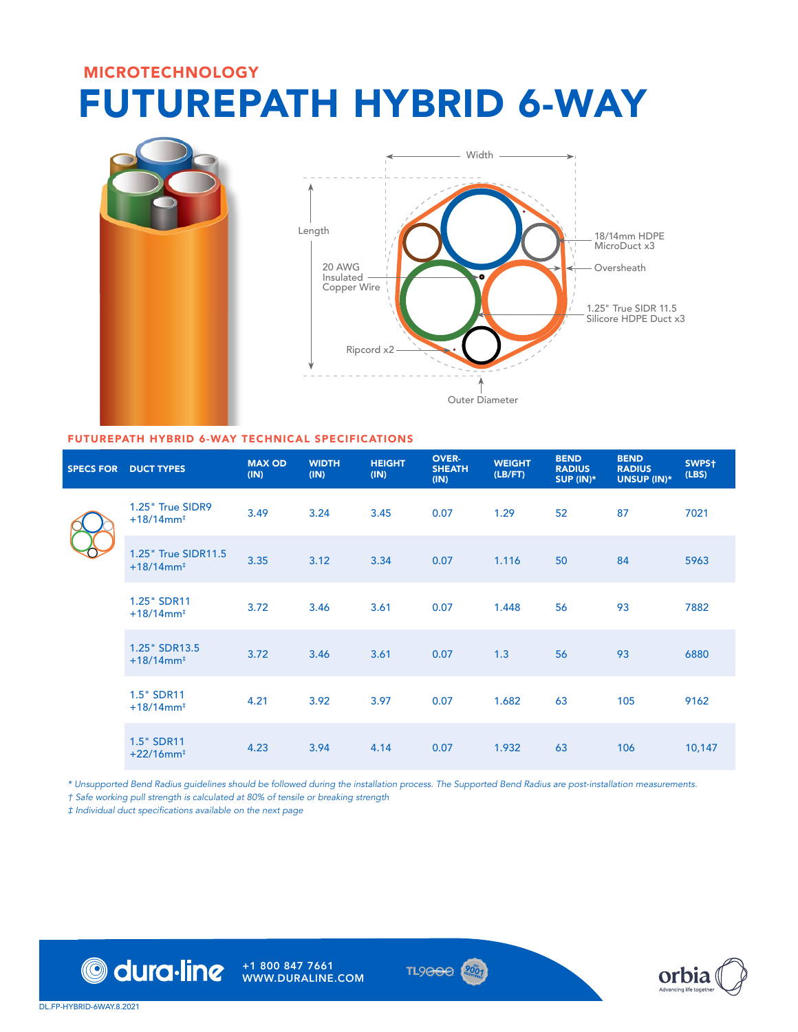## MICROTECHNOLOGY FUTUREPATH HYBRID 6-WAY





## FUTUREPATH HYBRID 6-WAY TECHNICAL SPECIFICATIONS

|  | <b>SPECS FOR DUCT TYPES</b>                     | <b>MAX OD</b><br>(IN) | <b>WIDTH</b><br>(IN) | <b>HEIGHT</b><br>(IN) | <b>OVER-</b><br><b>SHEATH</b><br>(IN) | <b>WEIGHT</b><br>(LB/FT) | <b>BEND</b><br><b>RADIUS</b><br>SUP $(IN)^*$ | <b>BEND</b><br><b>RADIUS</b><br>UNSUP (IN)* | SWPS <sup>+</sup><br>(LBS) |
|--|-------------------------------------------------|-----------------------|----------------------|-----------------------|---------------------------------------|--------------------------|----------------------------------------------|---------------------------------------------|----------------------------|
|  | 1.25" True SIDR9<br>$+18/14$ mm <sup>+</sup>    | 3.49                  | 3.24                 | 3.45                  | 0.07                                  | 1.29                     | 52                                           | 87                                          | 7021                       |
|  | 1.25" True SIDR11.5<br>$+18/14$ mm <sup>+</sup> | 3.35                  | 3.12                 | 3.34                  | 0.07                                  | 1.116                    | 50                                           | 84                                          | 5963                       |
|  | 1.25" SDR11<br>$+18/14$ mm <sup>+</sup>         | 3.72                  | 3.46                 | 3.61                  | 0.07                                  | 1.448                    | 56                                           | 93                                          | 7882                       |
|  | 1.25" SDR13.5<br>$+18/14$ mm <sup>+</sup>       | 3.72                  | 3.46                 | 3.61                  | 0.07                                  | 1.3                      | 56                                           | 93                                          | 6880                       |
|  | 1.5" SDR11<br>$+18/14$ mm <sup>‡</sup>          | 4.21                  | 3.92                 | 3.97                  | 0.07                                  | 1.682                    | 63                                           | 105                                         | 9162                       |
|  | 1.5" SDR11<br>$+22/16$ mm <sup>‡</sup>          | 4.23                  | 3.94                 | 4.14                  | 0.07                                  | 1.932                    | 63                                           | 106                                         | 10,147                     |

*\* Unsupported Bend Radius guidelines should be followed during the installation process. The Supported Bend Radius are post-installation measurements.*

*† Safe working pull strength is calculated at 80% of tensile or breaking strength*

‡ Individual duct specifications available on the next page



+1 800 847 7661 WWW.DURALINE.COM